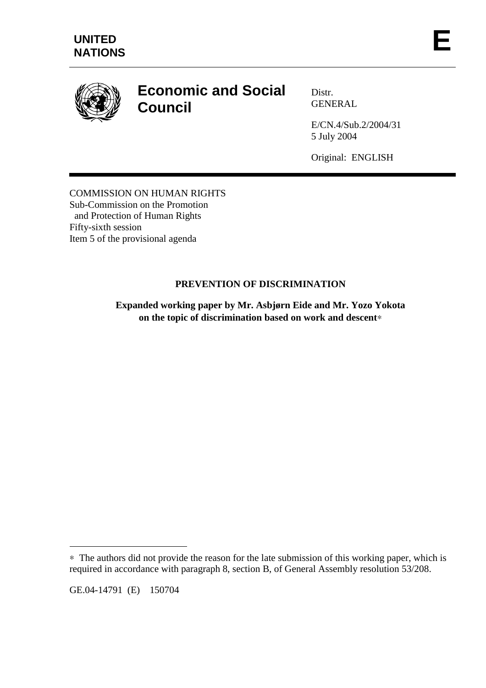

# **Economic and Social Council**

Distr. GENERAL

E/CN.4/Sub.2/2004/31 5 July 2004

Original: ENGLISH

COMMISSION ON HUMAN RIGHTS Sub-Commission on the Promotion and Protection of Human Rights Fifty-sixth session Item 5 of the provisional agenda

# **PREVENTION OF DISCRIMINATION**

**Expanded working paper by Mr. Asbjørn Eide and Mr. Yozo Yokota on the topic of discrimination based on work and descent**∗

GE.04-14791 (E) 150704

 $\overline{a}$ 

<sup>∗</sup> The authors did not provide the reason for the late submission of this working paper, which is required in accordance with paragraph 8, section B, of General Assembly resolution 53/208.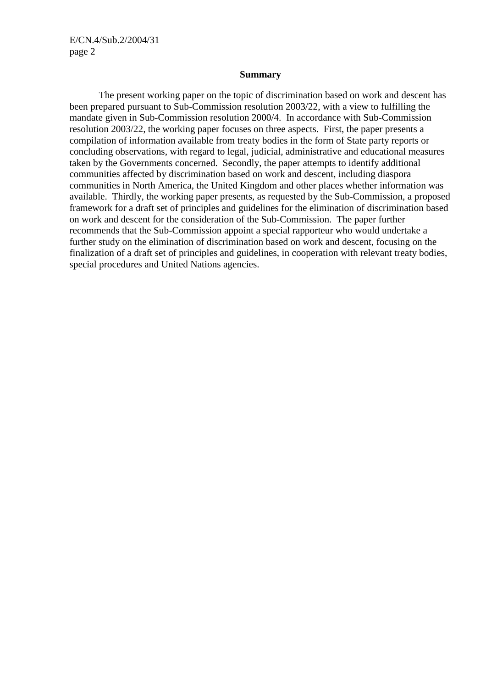E/CN.4/Sub.2/2004/31 page 2

#### **Summary**

 The present working paper on the topic of discrimination based on work and descent has been prepared pursuant to Sub-Commission resolution 2003/22, with a view to fulfilling the mandate given in Sub-Commission resolution 2000/4. In accordance with Sub-Commission resolution 2003/22, the working paper focuses on three aspects. First, the paper presents a compilation of information available from treaty bodies in the form of State party reports or concluding observations, with regard to legal, judicial, administrative and educational measures taken by the Governments concerned. Secondly, the paper attempts to identify additional communities affected by discrimination based on work and descent, including diaspora communities in North America, the United Kingdom and other places whether information was available. Thirdly, the working paper presents, as requested by the Sub-Commission, a proposed framework for a draft set of principles and guidelines for the elimination of discrimination based on work and descent for the consideration of the Sub-Commission. The paper further recommends that the Sub-Commission appoint a special rapporteur who would undertake a further study on the elimination of discrimination based on work and descent, focusing on the finalization of a draft set of principles and guidelines, in cooperation with relevant treaty bodies, special procedures and United Nations agencies.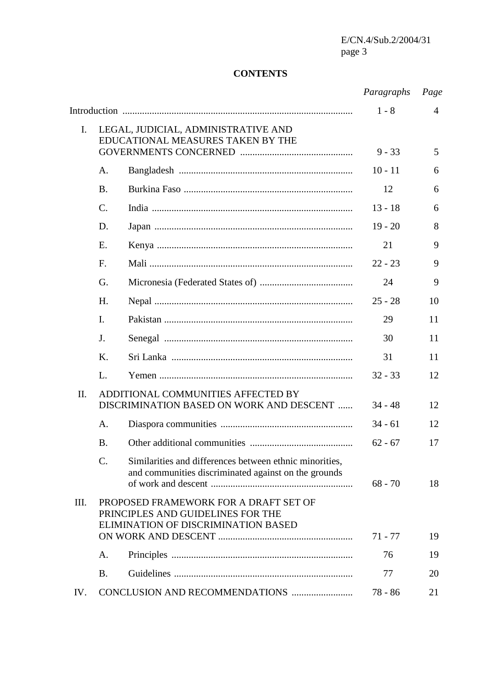E/CN.4/Sub.2/2004/31 page 3

# **CONTENTS**

|      |                                                                                                                   |                                                                                                                 | Paragraphs | Page           |
|------|-------------------------------------------------------------------------------------------------------------------|-----------------------------------------------------------------------------------------------------------------|------------|----------------|
|      |                                                                                                                   |                                                                                                                 | $1 - 8$    | $\overline{4}$ |
| I.   | LEGAL, JUDICIAL, ADMINISTRATIVE AND<br>EDUCATIONAL MEASURES TAKEN BY THE                                          |                                                                                                                 | $9 - 33$   | 5              |
|      |                                                                                                                   |                                                                                                                 |            |                |
|      | A.                                                                                                                |                                                                                                                 | $10 - 11$  | 6              |
|      | <b>B.</b>                                                                                                         |                                                                                                                 | 12         | 6              |
|      | $\mathcal{C}$ .                                                                                                   |                                                                                                                 | $13 - 18$  | 6              |
|      | D.                                                                                                                |                                                                                                                 | $19 - 20$  | 8              |
|      | Ε.                                                                                                                |                                                                                                                 | 21         | 9              |
|      | F.                                                                                                                |                                                                                                                 | $22 - 23$  | 9              |
|      | G.                                                                                                                |                                                                                                                 | 24         | 9              |
|      | H.                                                                                                                |                                                                                                                 | $25 - 28$  | 10             |
|      | I.                                                                                                                |                                                                                                                 | 29         | 11             |
|      | J.                                                                                                                |                                                                                                                 | 30         | 11             |
|      | Κ.                                                                                                                |                                                                                                                 | 31         | 11             |
|      | L.                                                                                                                |                                                                                                                 | $32 - 33$  | 12             |
| II.  | ADDITIONAL COMMUNITIES AFFECTED BY<br>DISCRIMINATION BASED ON WORK AND DESCENT                                    |                                                                                                                 | $34 - 48$  | 12             |
|      | A.                                                                                                                |                                                                                                                 | $34 - 61$  | 12             |
|      | <b>B.</b>                                                                                                         |                                                                                                                 | $62 - 67$  | 17             |
|      | $\mathcal{C}$ .                                                                                                   | Similarities and differences between ethnic minorities,<br>and communities discriminated against on the grounds | $68 - 70$  | 18             |
| III. | PROPOSED FRAMEWORK FOR A DRAFT SET OF<br>PRINCIPLES AND GUIDELINES FOR THE<br>ELIMINATION OF DISCRIMINATION BASED |                                                                                                                 | $71 - 77$  | 19             |
|      | A.                                                                                                                |                                                                                                                 | 76         | 19             |
|      | <b>B.</b>                                                                                                         |                                                                                                                 | 77         | 20             |
|      |                                                                                                                   |                                                                                                                 |            |                |
| IV.  |                                                                                                                   |                                                                                                                 | $78 - 86$  | 21             |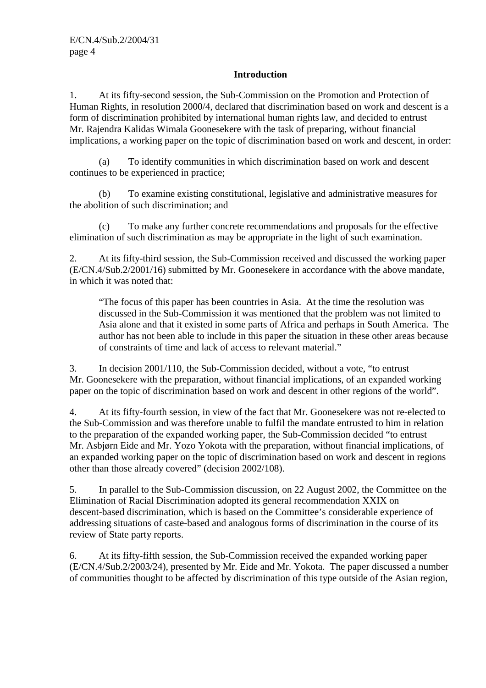## **Introduction**

1. At its fifty-second session, the Sub-Commission on the Promotion and Protection of Human Rights, in resolution 2000/4, declared that discrimination based on work and descent is a form of discrimination prohibited by international human rights law, and decided to entrust Mr. Rajendra Kalidas Wimala Goonesekere with the task of preparing, without financial implications, a working paper on the topic of discrimination based on work and descent, in order:

 (a) To identify communities in which discrimination based on work and descent continues to be experienced in practice;

 (b) To examine existing constitutional, legislative and administrative measures for the abolition of such discrimination; and

 (c) To make any further concrete recommendations and proposals for the effective elimination of such discrimination as may be appropriate in the light of such examination.

2. At its fifty-third session, the Sub-Commission received and discussed the working paper (E/CN.4/Sub.2/2001/16) submitted by Mr. Goonesekere in accordance with the above mandate, in which it was noted that:

"The focus of this paper has been countries in Asia. At the time the resolution was discussed in the Sub-Commission it was mentioned that the problem was not limited to Asia alone and that it existed in some parts of Africa and perhaps in South America. The author has not been able to include in this paper the situation in these other areas because of constraints of time and lack of access to relevant material."

3. In decision 2001/110, the Sub-Commission decided, without a vote, "to entrust Mr. Goonesekere with the preparation, without financial implications, of an expanded working paper on the topic of discrimination based on work and descent in other regions of the world".

4. At its fifty-fourth session, in view of the fact that Mr. Goonesekere was not re-elected to the Sub-Commission and was therefore unable to fulfil the mandate entrusted to him in relation to the preparation of the expanded working paper, the Sub-Commission decided "to entrust Mr. Asbjørn Eide and Mr. Yozo Yokota with the preparation, without financial implications, of an expanded working paper on the topic of discrimination based on work and descent in regions other than those already covered" (decision 2002/108).

5. In parallel to the Sub-Commission discussion, on 22 August 2002, the Committee on the Elimination of Racial Discrimination adopted its general recommendation XXIX on descent-based discrimination, which is based on the Committee's considerable experience of addressing situations of caste-based and analogous forms of discrimination in the course of its review of State party reports.

6. At its fifty-fifth session, the Sub-Commission received the expanded working paper (E/CN.4/Sub.2/2003/24), presented by Mr. Eide and Mr. Yokota. The paper discussed a number of communities thought to be affected by discrimination of this type outside of the Asian region,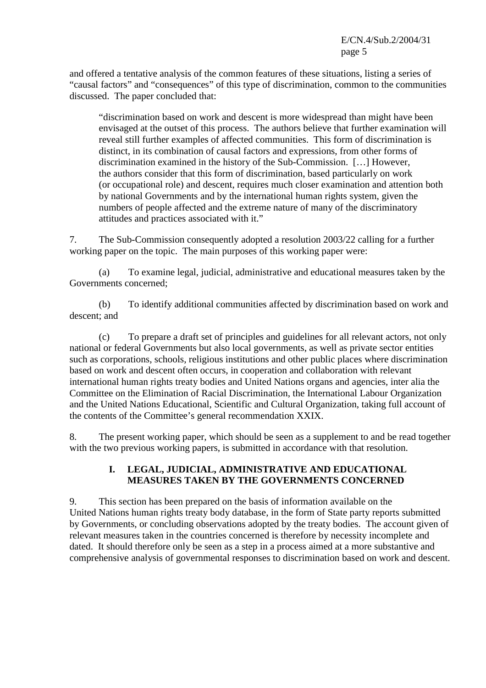and offered a tentative analysis of the common features of these situations, listing a series of "causal factors" and "consequences" of this type of discrimination, common to the communities discussed. The paper concluded that:

"discrimination based on work and descent is more widespread than might have been envisaged at the outset of this process. The authors believe that further examination will reveal still further examples of affected communities. This form of discrimination is distinct, in its combination of causal factors and expressions, from other forms of discrimination examined in the history of the Sub-Commission. […] However, the authors consider that this form of discrimination, based particularly on work (or occupational role) and descent, requires much closer examination and attention both by national Governments and by the international human rights system, given the numbers of people affected and the extreme nature of many of the discriminatory attitudes and practices associated with it."

7. The Sub-Commission consequently adopted a resolution 2003/22 calling for a further working paper on the topic. The main purposes of this working paper were:

 (a) To examine legal, judicial, administrative and educational measures taken by the Governments concerned;

 (b) To identify additional communities affected by discrimination based on work and descent; and

 (c) To prepare a draft set of principles and guidelines for all relevant actors, not only national or federal Governments but also local governments, as well as private sector entities such as corporations, schools, religious institutions and other public places where discrimination based on work and descent often occurs, in cooperation and collaboration with relevant international human rights treaty bodies and United Nations organs and agencies, inter alia the Committee on the Elimination of Racial Discrimination, the International Labour Organization and the United Nations Educational, Scientific and Cultural Organization, taking full account of the contents of the Committee's general recommendation XXIX.

8. The present working paper, which should be seen as a supplement to and be read together with the two previous working papers, is submitted in accordance with that resolution.

## **I. LEGAL, JUDICIAL, ADMINISTRATIVE AND EDUCATIONAL MEASURES TAKEN BY THE GOVERNMENTS CONCERNED**

9. This section has been prepared on the basis of information available on the United Nations human rights treaty body database, in the form of State party reports submitted by Governments, or concluding observations adopted by the treaty bodies. The account given of relevant measures taken in the countries concerned is therefore by necessity incomplete and dated. It should therefore only be seen as a step in a process aimed at a more substantive and comprehensive analysis of governmental responses to discrimination based on work and descent.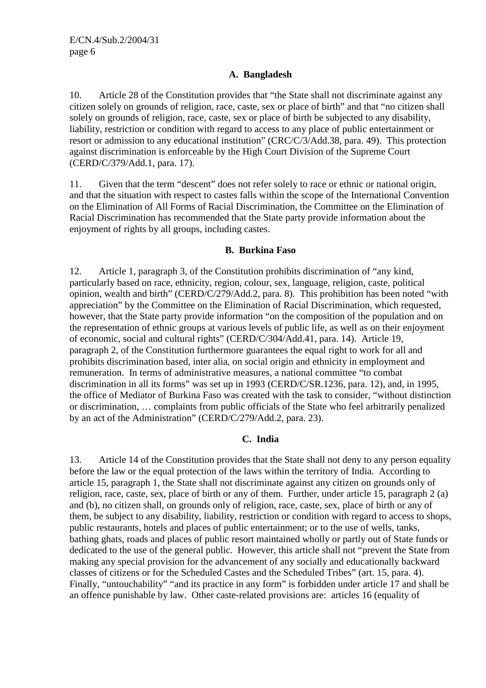## **A. Bangladesh**

10. Article 28 of the Constitution provides that "the State shall not discriminate against any citizen solely on grounds of religion, race, caste, sex or place of birth" and that "no citizen shall solely on grounds of religion, race, caste, sex or place of birth be subjected to any disability, liability, restriction or condition with regard to access to any place of public entertainment or resort or admission to any educational institution" (CRC/C/3/Add.38, para. 49). This protection against discrimination is enforceable by the High Court Division of the Supreme Court (CERD/C/379/Add.1, para. 17).

11. Given that the term "descent" does not refer solely to race or ethnic or national origin, and that the situation with respect to castes falls within the scope of the International Convention on the Elimination of All Forms of Racial Discrimination, the Committee on the Elimination of Racial Discrimination has recommended that the State party provide information about the enjoyment of rights by all groups, including castes.

#### **B. Burkina Faso**

12. Article 1, paragraph 3, of the Constitution prohibits discrimination of "any kind, particularly based on race, ethnicity, region, colour, sex, language, religion, caste, political opinion, wealth and birth" (CERD/C/279/Add.2, para. 8). This prohibition has been noted "with appreciation" by the Committee on the Elimination of Racial Discrimination, which requested, however, that the State party provide information "on the composition of the population and on the representation of ethnic groups at various levels of public life, as well as on their enjoyment of economic, social and cultural rights" (CERD/C/304/Add.41, para. 14). Article 19, paragraph 2, of the Constitution furthermore guarantees the equal right to work for all and prohibits discrimination based, inter alia, on social origin and ethnicity in employment and remuneration. In terms of administrative measures, a national committee "to combat discrimination in all its forms" was set up in 1993 (CERD/C/SR.1236, para. 12), and, in 1995, the office of Mediator of Burkina Faso was created with the task to consider, "without distinction or discrimination, … complaints from public officials of the State who feel arbitrarily penalized by an act of the Administration" (CERD/C/279/Add.2, para. 23).

## **C. India**

13. Article 14 of the Constitution provides that the State shall not deny to any person equality before the law or the equal protection of the laws within the territory of India. According to article 15, paragraph 1, the State shall not discriminate against any citizen on grounds only of religion, race, caste, sex, place of birth or any of them. Further, under article 15, paragraph 2 (a) and (b), no citizen shall, on grounds only of religion, race, caste, sex, place of birth or any of them, be subject to any disability, liability, restriction or condition with regard to access to shops, public restaurants, hotels and places of public entertainment; or to the use of wells, tanks, bathing ghats, roads and places of public resort maintained wholly or partly out of State funds or dedicated to the use of the general public. However, this article shall not "prevent the State from making any special provision for the advancement of any socially and educationally backward classes of citizens or for the Scheduled Castes and the Scheduled Tribes" (art. 15, para. 4). Finally, "untouchability" "and its practice in any form" is forbidden under article 17 and shall be an offence punishable by law. Other caste-related provisions are: articles 16 (equality of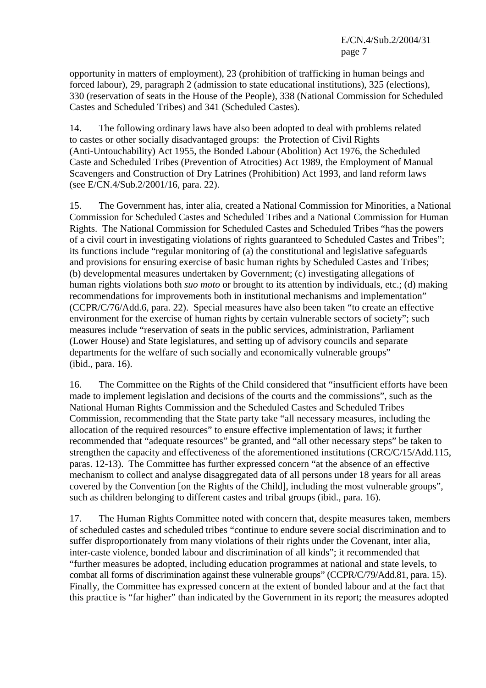opportunity in matters of employment), 23 (prohibition of trafficking in human beings and forced labour), 29, paragraph 2 (admission to state educational institutions), 325 (elections), 330 (reservation of seats in the House of the People), 338 (National Commission for Scheduled Castes and Scheduled Tribes) and 341 (Scheduled Castes).

14. The following ordinary laws have also been adopted to deal with problems related to castes or other socially disadvantaged groups: the Protection of Civil Rights (Anti-Untouchability) Act 1955, the Bonded Labour (Abolition) Act 1976, the Scheduled Caste and Scheduled Tribes (Prevention of Atrocities) Act 1989, the Employment of Manual Scavengers and Construction of Dry Latrines (Prohibition) Act 1993, and land reform laws (see E/CN.4/Sub.2/2001/16, para. 22).

15. The Government has, inter alia, created a National Commission for Minorities, a National Commission for Scheduled Castes and Scheduled Tribes and a National Commission for Human Rights. The National Commission for Scheduled Castes and Scheduled Tribes "has the powers of a civil court in investigating violations of rights guaranteed to Scheduled Castes and Tribes"; its functions include "regular monitoring of (a) the constitutional and legislative safeguards and provisions for ensuring exercise of basic human rights by Scheduled Castes and Tribes; (b) developmental measures undertaken by Government; (c) investigating allegations of human rights violations both *suo moto* or brought to its attention by individuals, etc.; (d) making recommendations for improvements both in institutional mechanisms and implementation" (CCPR/C/76/Add.6, para. 22). Special measures have also been taken "to create an effective environment for the exercise of human rights by certain vulnerable sectors of society"; such measures include "reservation of seats in the public services, administration, Parliament (Lower House) and State legislatures, and setting up of advisory councils and separate departments for the welfare of such socially and economically vulnerable groups" (ibid., para. 16).

16. The Committee on the Rights of the Child considered that "insufficient efforts have been made to implement legislation and decisions of the courts and the commissions", such as the National Human Rights Commission and the Scheduled Castes and Scheduled Tribes Commission, recommending that the State party take "all necessary measures, including the allocation of the required resources" to ensure effective implementation of laws; it further recommended that "adequate resources" be granted, and "all other necessary steps" be taken to strengthen the capacity and effectiveness of the aforementioned institutions (CRC/C/15/Add.115, paras. 12-13). The Committee has further expressed concern "at the absence of an effective mechanism to collect and analyse disaggregated data of all persons under 18 years for all areas covered by the Convention [on the Rights of the Child], including the most vulnerable groups", such as children belonging to different castes and tribal groups (ibid., para. 16).

17. The Human Rights Committee noted with concern that, despite measures taken, members of scheduled castes and scheduled tribes "continue to endure severe social discrimination and to suffer disproportionately from many violations of their rights under the Covenant, inter alia, inter-caste violence, bonded labour and discrimination of all kinds"; it recommended that "further measures be adopted, including education programmes at national and state levels, to combat all forms of discrimination against these vulnerable groups" (CCPR/C/79/Add.81, para. 15). Finally, the Committee has expressed concern at the extent of bonded labour and at the fact that this practice is "far higher" than indicated by the Government in its report; the measures adopted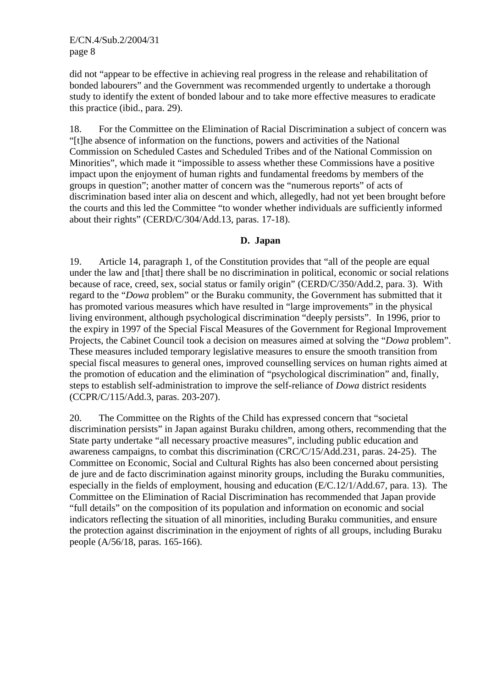did not "appear to be effective in achieving real progress in the release and rehabilitation of bonded labourers" and the Government was recommended urgently to undertake a thorough study to identify the extent of bonded labour and to take more effective measures to eradicate this practice (ibid., para. 29).

18. For the Committee on the Elimination of Racial Discrimination a subject of concern was "[t]he absence of information on the functions, powers and activities of the National Commission on Scheduled Castes and Scheduled Tribes and of the National Commission on Minorities", which made it "impossible to assess whether these Commissions have a positive impact upon the enjoyment of human rights and fundamental freedoms by members of the groups in question"; another matter of concern was the "numerous reports" of acts of discrimination based inter alia on descent and which, allegedly, had not yet been brought before the courts and this led the Committee "to wonder whether individuals are sufficiently informed about their rights" (CERD/C/304/Add.13, paras. 17-18).

#### **D. Japan**

19. Article 14, paragraph 1, of the Constitution provides that "all of the people are equal under the law and [that] there shall be no discrimination in political, economic or social relations because of race, creed, sex, social status or family origin" (CERD/C/350/Add.2, para. 3). With regard to the "*Dowa* problem" or the Buraku community, the Government has submitted that it has promoted various measures which have resulted in "large improvements" in the physical living environment, although psychological discrimination "deeply persists". In 1996, prior to the expiry in 1997 of the Special Fiscal Measures of the Government for Regional Improvement Projects, the Cabinet Council took a decision on measures aimed at solving the "*Dowa* problem". These measures included temporary legislative measures to ensure the smooth transition from special fiscal measures to general ones, improved counselling services on human rights aimed at the promotion of education and the elimination of "psychological discrimination" and, finally, steps to establish self-administration to improve the self-reliance of *Dowa* district residents (CCPR/C/115/Add.3, paras. 203-207).

20. The Committee on the Rights of the Child has expressed concern that "societal discrimination persists" in Japan against Buraku children, among others, recommending that the State party undertake "all necessary proactive measures", including public education and awareness campaigns, to combat this discrimination (CRC/C/15/Add.231, paras. 24-25). The Committee on Economic, Social and Cultural Rights has also been concerned about persisting de jure and de facto discrimination against minority groups, including the Buraku communities, especially in the fields of employment, housing and education (E/C.12/1/Add.67, para. 13). The Committee on the Elimination of Racial Discrimination has recommended that Japan provide "full details" on the composition of its population and information on economic and social indicators reflecting the situation of all minorities, including Buraku communities, and ensure the protection against discrimination in the enjoyment of rights of all groups, including Buraku people (A/56/18, paras. 165-166).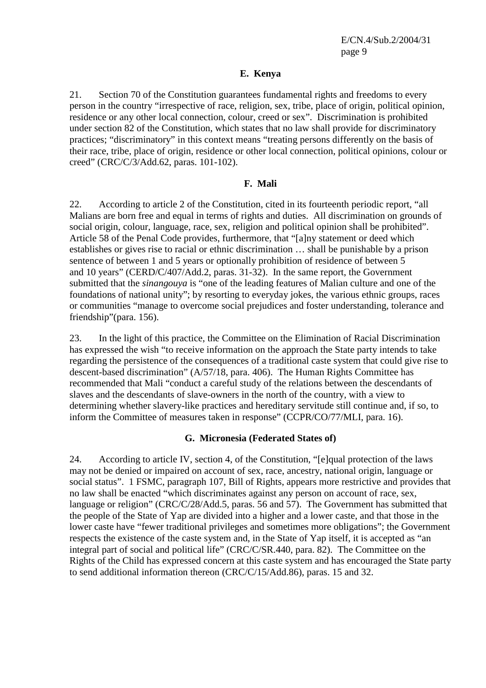#### **E. Kenya**

21. Section 70 of the Constitution guarantees fundamental rights and freedoms to every person in the country "irrespective of race, religion, sex, tribe, place of origin, political opinion, residence or any other local connection, colour, creed or sex". Discrimination is prohibited under section 82 of the Constitution, which states that no law shall provide for discriminatory practices; "discriminatory" in this context means "treating persons differently on the basis of their race, tribe, place of origin, residence or other local connection, political opinions, colour or creed" (CRC/C/3/Add.62, paras. 101-102).

#### **F. Mali**

22. According to article 2 of the Constitution, cited in its fourteenth periodic report, "all Malians are born free and equal in terms of rights and duties. All discrimination on grounds of social origin, colour, language, race, sex, religion and political opinion shall be prohibited". Article 58 of the Penal Code provides, furthermore, that "[a]ny statement or deed which establishes or gives rise to racial or ethnic discrimination … shall be punishable by a prison sentence of between 1 and 5 years or optionally prohibition of residence of between 5 and 10 years" (CERD/C/407/Add.2, paras. 31-32). In the same report, the Government submitted that the *sinangouya* is "one of the leading features of Malian culture and one of the foundations of national unity"; by resorting to everyday jokes, the various ethnic groups, races or communities "manage to overcome social prejudices and foster understanding, tolerance and friendship"(para. 156).

23. In the light of this practice, the Committee on the Elimination of Racial Discrimination has expressed the wish "to receive information on the approach the State party intends to take regarding the persistence of the consequences of a traditional caste system that could give rise to descent-based discrimination" (A/57/18, para. 406). The Human Rights Committee has recommended that Mali "conduct a careful study of the relations between the descendants of slaves and the descendants of slave-owners in the north of the country, with a view to determining whether slavery-like practices and hereditary servitude still continue and, if so, to inform the Committee of measures taken in response" (CCPR/CO/77/MLI, para. 16).

## **G. Micronesia (Federated States of)**

24. According to article IV, section 4, of the Constitution, "[e]qual protection of the laws may not be denied or impaired on account of sex, race, ancestry, national origin, language or social status". 1 FSMC, paragraph 107, Bill of Rights, appears more restrictive and provides that no law shall be enacted "which discriminates against any person on account of race, sex, language or religion" (CRC/C/28/Add.5, paras. 56 and 57). The Government has submitted that the people of the State of Yap are divided into a higher and a lower caste, and that those in the lower caste have "fewer traditional privileges and sometimes more obligations"; the Government respects the existence of the caste system and, in the State of Yap itself, it is accepted as "an integral part of social and political life" (CRC/C/SR.440, para. 82). The Committee on the Rights of the Child has expressed concern at this caste system and has encouraged the State party to send additional information thereon (CRC/C/15/Add.86), paras. 15 and 32.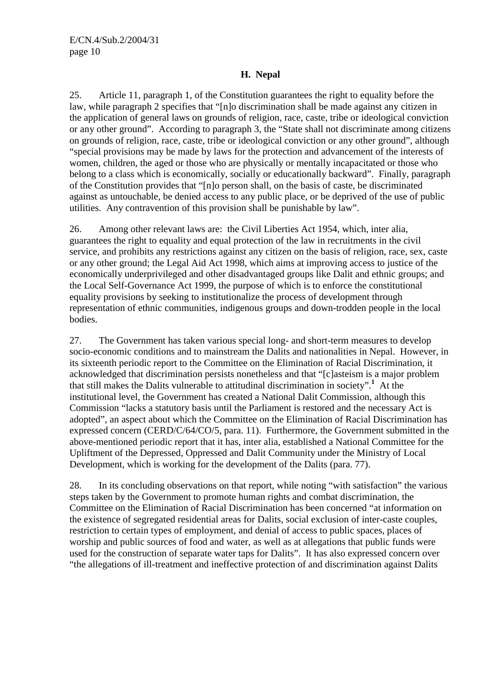## **H. Nepal**

25. Article 11, paragraph 1, of the Constitution guarantees the right to equality before the law, while paragraph 2 specifies that "[n]o discrimination shall be made against any citizen in the application of general laws on grounds of religion, race, caste, tribe or ideological conviction or any other ground". According to paragraph 3, the "State shall not discriminate among citizens on grounds of religion, race, caste, tribe or ideological conviction or any other ground", although "special provisions may be made by laws for the protection and advancement of the interests of women, children, the aged or those who are physically or mentally incapacitated or those who belong to a class which is economically, socially or educationally backward". Finally, paragraph of the Constitution provides that "[n]o person shall, on the basis of caste, be discriminated against as untouchable, be denied access to any public place, or be deprived of the use of public utilities. Any contravention of this provision shall be punishable by law".

26. Among other relevant laws are: the Civil Liberties Act 1954, which, inter alia, guarantees the right to equality and equal protection of the law in recruitments in the civil service, and prohibits any restrictions against any citizen on the basis of religion, race, sex, caste or any other ground; the Legal Aid Act 1998, which aims at improving access to justice of the economically underprivileged and other disadvantaged groups like Dalit and ethnic groups; and the Local Self-Governance Act 1999, the purpose of which is to enforce the constitutional equality provisions by seeking to institutionalize the process of development through representation of ethnic communities, indigenous groups and down-trodden people in the local bodies.

27. The Government has taken various special long- and short-term measures to develop socio-economic conditions and to mainstream the Dalits and nationalities in Nepal. However, in its sixteenth periodic report to the Committee on the Elimination of Racial Discrimination, it acknowledged that discrimination persists nonetheless and that "[c]asteism is a major problem that still makes the Dalits vulnerable to attitudinal discrimination in society".**<sup>1</sup>** At the institutional level, the Government has created a National Dalit Commission, although this Commission "lacks a statutory basis until the Parliament is restored and the necessary Act is adopted", an aspect about which the Committee on the Elimination of Racial Discrimination has expressed concern (CERD/C/64/CO/5, para. 11). Furthermore, the Government submitted in the above-mentioned periodic report that it has, inter alia, established a National Committee for the Upliftment of the Depressed, Oppressed and Dalit Community under the Ministry of Local Development, which is working for the development of the Dalits (para. 77).

28. In its concluding observations on that report, while noting "with satisfaction" the various steps taken by the Government to promote human rights and combat discrimination, the Committee on the Elimination of Racial Discrimination has been concerned "at information on the existence of segregated residential areas for Dalits, social exclusion of inter-caste couples, restriction to certain types of employment, and denial of access to public spaces, places of worship and public sources of food and water, as well as at allegations that public funds were used for the construction of separate water taps for Dalits". It has also expressed concern over "the allegations of ill-treatment and ineffective protection of and discrimination against Dalits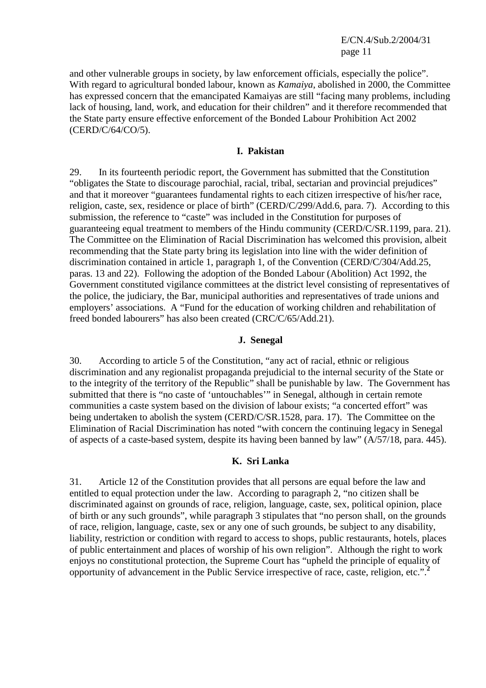E/CN.4/Sub.2/2004/31 page 11

and other vulnerable groups in society, by law enforcement officials, especially the police". With regard to agricultural bonded labour, known as *Kamaiya*, abolished in 2000, the Committee has expressed concern that the emancipated Kamaiyas are still "facing many problems, including lack of housing, land, work, and education for their children" and it therefore recommended that the State party ensure effective enforcement of the Bonded Labour Prohibition Act 2002 (CERD/C/64/CO/5).

#### **I. Pakistan**

29. In its fourteenth periodic report, the Government has submitted that the Constitution "obligates the State to discourage parochial, racial, tribal, sectarian and provincial prejudices" and that it moreover "guarantees fundamental rights to each citizen irrespective of his/her race, religion, caste, sex, residence or place of birth" (CERD/C/299/Add.6, para. 7). According to this submission, the reference to "caste" was included in the Constitution for purposes of guaranteeing equal treatment to members of the Hindu community (CERD/C/SR.1199, para. 21). The Committee on the Elimination of Racial Discrimination has welcomed this provision, albeit recommending that the State party bring its legislation into line with the wider definition of discrimination contained in article 1, paragraph 1, of the Convention (CERD/C/304/Add.25, paras. 13 and 22). Following the adoption of the Bonded Labour (Abolition) Act 1992, the Government constituted vigilance committees at the district level consisting of representatives of the police, the judiciary, the Bar, municipal authorities and representatives of trade unions and employers' associations. A "Fund for the education of working children and rehabilitation of freed bonded labourers" has also been created (CRC/C/65/Add.21).

#### **J. Senegal**

30. According to article 5 of the Constitution, "any act of racial, ethnic or religious discrimination and any regionalist propaganda prejudicial to the internal security of the State or to the integrity of the territory of the Republic" shall be punishable by law. The Government has submitted that there is "no caste of 'untouchables'" in Senegal, although in certain remote communities a caste system based on the division of labour exists; "a concerted effort" was being undertaken to abolish the system (CERD/C/SR.1528, para. 17). The Committee on the Elimination of Racial Discrimination has noted "with concern the continuing legacy in Senegal of aspects of a caste-based system, despite its having been banned by law" (A/57/18, para. 445).

#### **K. Sri Lanka**

31. Article 12 of the Constitution provides that all persons are equal before the law and entitled to equal protection under the law. According to paragraph 2, "no citizen shall be discriminated against on grounds of race, religion, language, caste, sex, political opinion, place of birth or any such grounds", while paragraph 3 stipulates that "no person shall, on the grounds of race, religion, language, caste, sex or any one of such grounds, be subject to any disability, liability, restriction or condition with regard to access to shops, public restaurants, hotels, places of public entertainment and places of worship of his own religion". Although the right to work enjoys no constitutional protection, the Supreme Court has "upheld the principle of equality of opportunity of advancement in the Public Service irrespective of race, caste, religion, etc.".**<sup>2</sup>**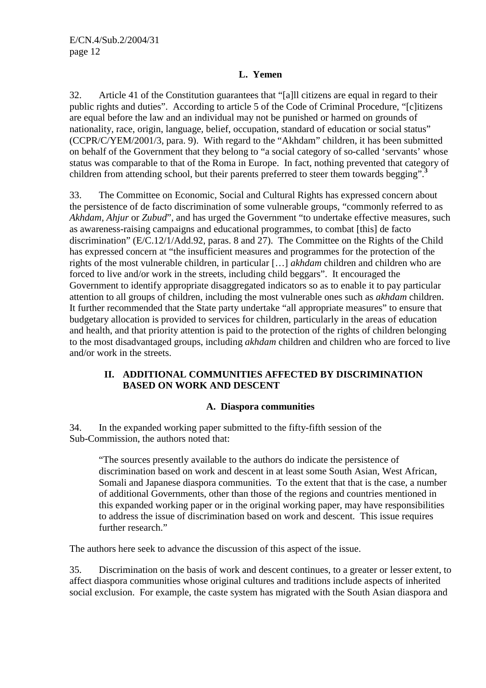## **L. Yemen**

32. Article 41 of the Constitution guarantees that "[a]ll citizens are equal in regard to their public rights and duties". According to article 5 of the Code of Criminal Procedure, "[c]itizens are equal before the law and an individual may not be punished or harmed on grounds of nationality, race, origin, language, belief, occupation, standard of education or social status" (CCPR/C/YEM/2001/3, para. 9). With regard to the "Akhdam" children, it has been submitted on behalf of the Government that they belong to "a social category of so-called 'servants' whose status was comparable to that of the Roma in Europe. In fact, nothing prevented that category of children from attending school, but their parents preferred to steer them towards begging".**<sup>3</sup>**

33. The Committee on Economic, Social and Cultural Rights has expressed concern about the persistence of de facto discrimination of some vulnerable groups, "commonly referred to as *Akhdam, Ahjur* or *Zubud*", and has urged the Government "to undertake effective measures, such as awareness-raising campaigns and educational programmes, to combat [this] de facto discrimination" (E/C.12/1/Add.92, paras. 8 and 27). The Committee on the Rights of the Child has expressed concern at "the insufficient measures and programmes for the protection of the rights of the most vulnerable children, in particular […] *akhdam* children and children who are forced to live and/or work in the streets, including child beggars". It encouraged the Government to identify appropriate disaggregated indicators so as to enable it to pay particular attention to all groups of children, including the most vulnerable ones such as *akhdam* children. It further recommended that the State party undertake "all appropriate measures" to ensure that budgetary allocation is provided to services for children, particularly in the areas of education and health, and that priority attention is paid to the protection of the rights of children belonging to the most disadvantaged groups, including *akhdam* children and children who are forced to live and/or work in the streets.

## **II. ADDITIONAL COMMUNITIES AFFECTED BY DISCRIMINATION BASED ON WORK AND DESCENT**

## **A. Diaspora communities**

34. In the expanded working paper submitted to the fifty-fifth session of the Sub-Commission, the authors noted that:

"The sources presently available to the authors do indicate the persistence of discrimination based on work and descent in at least some South Asian, West African, Somali and Japanese diaspora communities. To the extent that that is the case, a number of additional Governments, other than those of the regions and countries mentioned in this expanded working paper or in the original working paper, may have responsibilities to address the issue of discrimination based on work and descent. This issue requires further research."

The authors here seek to advance the discussion of this aspect of the issue.

35. Discrimination on the basis of work and descent continues, to a greater or lesser extent, to affect diaspora communities whose original cultures and traditions include aspects of inherited social exclusion. For example, the caste system has migrated with the South Asian diaspora and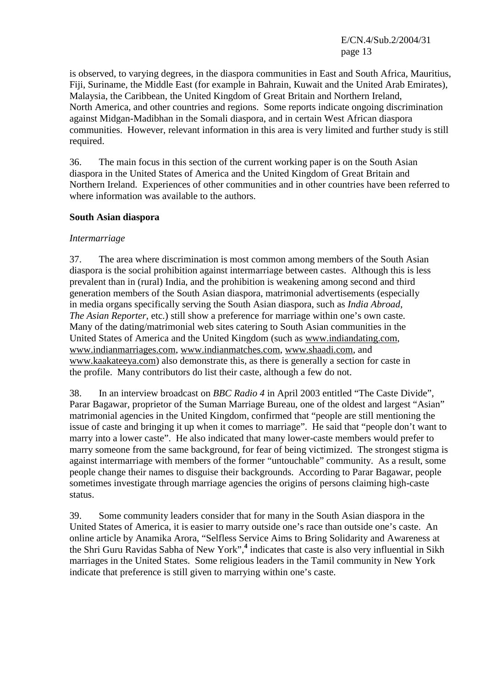E/CN.4/Sub.2/2004/31 page 13

is observed, to varying degrees, in the diaspora communities in East and South Africa, Mauritius, Fiji, Suriname, the Middle East (for example in Bahrain, Kuwait and the United Arab Emirates), Malaysia, the Caribbean, the United Kingdom of Great Britain and Northern Ireland, North America, and other countries and regions. Some reports indicate ongoing discrimination against Midgan-Madibhan in the Somali diaspora, and in certain West African diaspora communities. However, relevant information in this area is very limited and further study is still required.

36. The main focus in this section of the current working paper is on the South Asian diaspora in the United States of America and the United Kingdom of Great Britain and Northern Ireland. Experiences of other communities and in other countries have been referred to where information was available to the authors.

#### **South Asian diaspora**

#### *Intermarriage*

37. The area where discrimination is most common among members of the South Asian diaspora is the social prohibition against intermarriage between castes. Although this is less prevalent than in (rural) India, and the prohibition is weakening among second and third generation members of the South Asian diaspora, matrimonial advertisements (especially in media organs specifically serving the South Asian diaspora, such as *India Abroad*, *The Asian Reporter*, etc.) still show a preference for marriage within one's own caste. Many of the dating/matrimonial web sites catering to South Asian communities in the United States of America and the United Kingdom (such as www.indiandating.com, www.indianmarriages.com, www.indianmatches.com, www.shaadi.com, and www.kaakateeya.com) also demonstrate this, as there is generally a section for caste in the profile. Many contributors do list their caste, although a few do not.

38. In an interview broadcast on *BBC Radio 4* in April 2003 entitled "The Caste Divide", Parar Bagawar, proprietor of the Suman Marriage Bureau, one of the oldest and largest "Asian" matrimonial agencies in the United Kingdom, confirmed that "people are still mentioning the issue of caste and bringing it up when it comes to marriage". He said that "people don't want to marry into a lower caste". He also indicated that many lower-caste members would prefer to marry someone from the same background, for fear of being victimized. The strongest stigma is against intermarriage with members of the former "untouchable" community. As a result, some people change their names to disguise their backgrounds. According to Parar Bagawar, people sometimes investigate through marriage agencies the origins of persons claiming high-caste status.

39. Some community leaders consider that for many in the South Asian diaspora in the United States of America, it is easier to marry outside one's race than outside one's caste. An online article by Anamika Arora, "Selfless Service Aims to Bring Solidarity and Awareness at the Shri Guru Ravidas Sabha of New York",**<sup>4</sup>** indicates that caste is also very influential in Sikh marriages in the United States. Some religious leaders in the Tamil community in New York indicate that preference is still given to marrying within one's caste.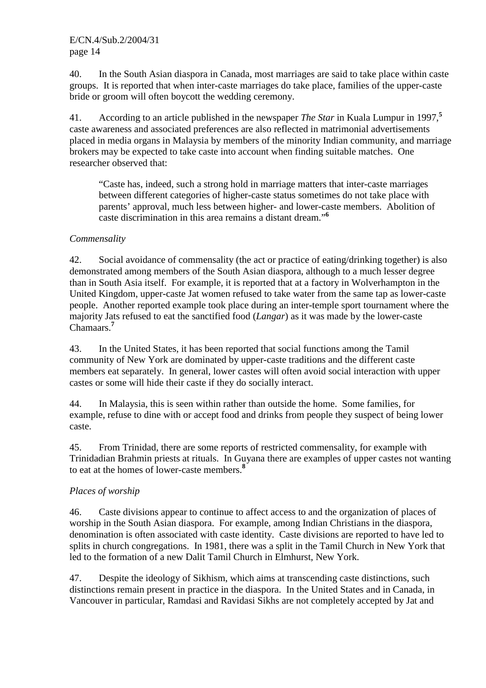40. In the South Asian diaspora in Canada, most marriages are said to take place within caste groups. It is reported that when inter-caste marriages do take place, families of the upper-caste bride or groom will often boycott the wedding ceremony.

41. According to an article published in the newspaper *The Star* in Kuala Lumpur in 1997,**<sup>5</sup>** caste awareness and associated preferences are also reflected in matrimonial advertisements placed in media organs in Malaysia by members of the minority Indian community, and marriage brokers may be expected to take caste into account when finding suitable matches. One researcher observed that:

"Caste has, indeed, such a strong hold in marriage matters that inter-caste marriages between different categories of higher-caste status sometimes do not take place with parents' approval, much less between higher- and lower-caste members. Abolition of caste discrimination in this area remains a distant dream."**<sup>6</sup>**

## *Commensality*

42. Social avoidance of commensality (the act or practice of eating/drinking together) is also demonstrated among members of the South Asian diaspora, although to a much lesser degree than in South Asia itself. For example, it is reported that at a factory in Wolverhampton in the United Kingdom, upper-caste Jat women refused to take water from the same tap as lower-caste people. Another reported example took place during an inter-temple sport tournament where the majority Jats refused to eat the sanctified food (*Langar*) as it was made by the lower-caste Chamaars.**<sup>7</sup>**

43. In the United States, it has been reported that social functions among the Tamil community of New York are dominated by upper-caste traditions and the different caste members eat separately. In general, lower castes will often avoid social interaction with upper castes or some will hide their caste if they do socially interact.

44. In Malaysia, this is seen within rather than outside the home. Some families, for example, refuse to dine with or accept food and drinks from people they suspect of being lower caste.

45. From Trinidad, there are some reports of restricted commensality, for example with Trinidadian Brahmin priests at rituals. In Guyana there are examples of upper castes not wanting to eat at the homes of lower-caste members.**<sup>8</sup>**

# *Places of worship*

46. Caste divisions appear to continue to affect access to and the organization of places of worship in the South Asian diaspora. For example, among Indian Christians in the diaspora, denomination is often associated with caste identity. Caste divisions are reported to have led to splits in church congregations. In 1981, there was a split in the Tamil Church in New York that led to the formation of a new Dalit Tamil Church in Elmhurst, New York.

47. Despite the ideology of Sikhism, which aims at transcending caste distinctions, such distinctions remain present in practice in the diaspora. In the United States and in Canada, in Vancouver in particular, Ramdasi and Ravidasi Sikhs are not completely accepted by Jat and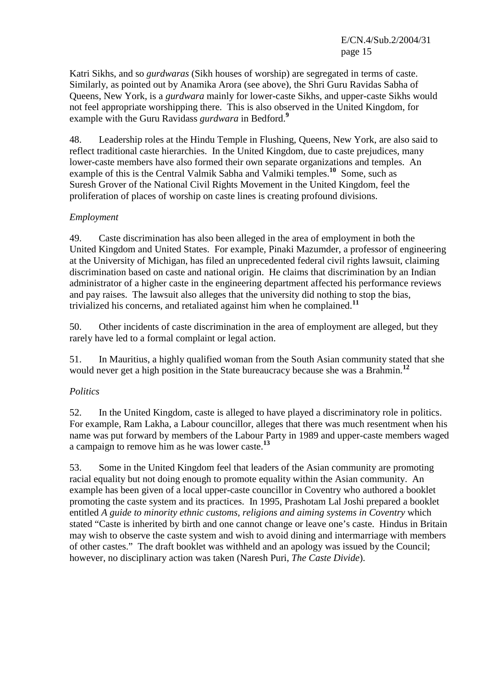E/CN.4/Sub.2/2004/31 page 15

Katri Sikhs, and so *gurdwaras* (Sikh houses of worship) are segregated in terms of caste. Similarly, as pointed out by Anamika Arora (see above), the Shri Guru Ravidas Sabha of Queens, New York, is a *gurdwara* mainly for lower-caste Sikhs, and upper-caste Sikhs would not feel appropriate worshipping there. This is also observed in the United Kingdom, for example with the Guru Ravidass *gurdwara* in Bedford.**<sup>9</sup>**

48. Leadership roles at the Hindu Temple in Flushing, Queens, New York, are also said to reflect traditional caste hierarchies. In the United Kingdom, due to caste prejudices, many lower-caste members have also formed their own separate organizations and temples. An example of this is the Central Valmik Sabha and Valmiki temples.<sup>10</sup> Some, such as Suresh Grover of the National Civil Rights Movement in the United Kingdom, feel the proliferation of places of worship on caste lines is creating profound divisions.

## *Employment*

49. Caste discrimination has also been alleged in the area of employment in both the United Kingdom and United States. For example, Pinaki Mazumder, a professor of engineering at the University of Michigan, has filed an unprecedented federal civil rights lawsuit, claiming discrimination based on caste and national origin. He claims that discrimination by an Indian administrator of a higher caste in the engineering department affected his performance reviews and pay raises. The lawsuit also alleges that the university did nothing to stop the bias, trivialized his concerns, and retaliated against him when he complained.**<sup>11</sup>**

50. Other incidents of caste discrimination in the area of employment are alleged, but they rarely have led to a formal complaint or legal action.

51. In Mauritius, a highly qualified woman from the South Asian community stated that she would never get a high position in the State bureaucracy because she was a Brahmin.**<sup>12</sup>**

## *Politics*

52. In the United Kingdom, caste is alleged to have played a discriminatory role in politics. For example, Ram Lakha, a Labour councillor, alleges that there was much resentment when his name was put forward by members of the Labour Party in 1989 and upper-caste members waged a campaign to remove him as he was lower caste.**<sup>13</sup>**

53. Some in the United Kingdom feel that leaders of the Asian community are promoting racial equality but not doing enough to promote equality within the Asian community. An example has been given of a local upper-caste councillor in Coventry who authored a booklet promoting the caste system and its practices. In 1995, Prashotam Lal Joshi prepared a booklet entitled *A guide to minority ethnic customs, religions and aiming systems in Coventry* which stated "Caste is inherited by birth and one cannot change or leave one's caste. Hindus in Britain may wish to observe the caste system and wish to avoid dining and intermarriage with members of other castes." The draft booklet was withheld and an apology was issued by the Council; however, no disciplinary action was taken (Naresh Puri, *The Caste Divide*).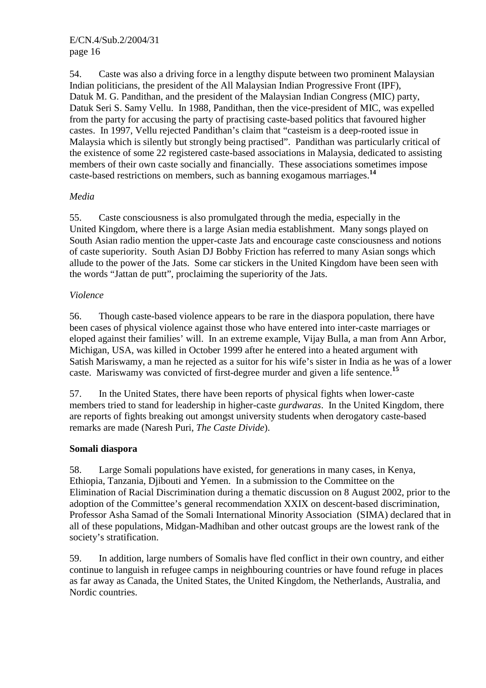54. Caste was also a driving force in a lengthy dispute between two prominent Malaysian Indian politicians, the president of the All Malaysian Indian Progressive Front (IPF), Datuk M. G. Pandithan, and the president of the Malaysian Indian Congress (MIC) party, Datuk Seri S. Samy Vellu. In 1988, Pandithan, then the vice-president of MIC, was expelled from the party for accusing the party of practising caste-based politics that favoured higher castes. In 1997, Vellu rejected Pandithan's claim that "casteism is a deep-rooted issue in Malaysia which is silently but strongly being practised". Pandithan was particularly critical of the existence of some 22 registered caste-based associations in Malaysia, dedicated to assisting members of their own caste socially and financially. These associations sometimes impose caste-based restrictions on members, such as banning exogamous marriages.**<sup>14</sup>**

## *Media*

55. Caste consciousness is also promulgated through the media, especially in the United Kingdom, where there is a large Asian media establishment. Many songs played on South Asian radio mention the upper-caste Jats and encourage caste consciousness and notions of caste superiority. South Asian DJ Bobby Friction has referred to many Asian songs which allude to the power of the Jats. Some car stickers in the United Kingdom have been seen with the words "Jattan de putt", proclaiming the superiority of the Jats.

## *Violence*

56. Though caste-based violence appears to be rare in the diaspora population, there have been cases of physical violence against those who have entered into inter-caste marriages or eloped against their families' will. In an extreme example, Vijay Bulla, a man from Ann Arbor, Michigan, USA, was killed in October 1999 after he entered into a heated argument with Satish Mariswamy, a man he rejected as a suitor for his wife's sister in India as he was of a lower caste. Mariswamy was convicted of first-degree murder and given a life sentence.**<sup>15</sup>**

57. In the United States, there have been reports of physical fights when lower-caste members tried to stand for leadership in higher-caste *gurdwaras*. In the United Kingdom, there are reports of fights breaking out amongst university students when derogatory caste-based remarks are made (Naresh Puri, *The Caste Divide*).

# **Somali diaspora**

58. Large Somali populations have existed, for generations in many cases, in Kenya, Ethiopia, Tanzania, Djibouti and Yemen. In a submission to the Committee on the Elimination of Racial Discrimination during a thematic discussion on 8 August 2002, prior to the adoption of the Committee's general recommendation XXIX on descent-based discrimination, Professor Asha Samad of the Somali International Minority Association (SIMA) declared that in all of these populations, Midgan-Madhiban and other outcast groups are the lowest rank of the society's stratification.

59. In addition, large numbers of Somalis have fled conflict in their own country, and either continue to languish in refugee camps in neighbouring countries or have found refuge in places as far away as Canada, the United States, the United Kingdom, the Netherlands, Australia, and Nordic countries.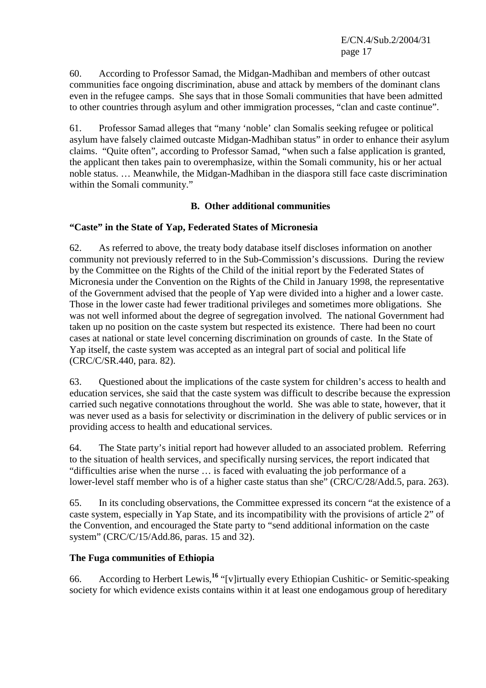E/CN.4/Sub.2/2004/31 page 17

60. According to Professor Samad, the Midgan-Madhiban and members of other outcast communities face ongoing discrimination, abuse and attack by members of the dominant clans even in the refugee camps. She says that in those Somali communities that have been admitted to other countries through asylum and other immigration processes, "clan and caste continue".

61. Professor Samad alleges that "many 'noble' clan Somalis seeking refugee or political asylum have falsely claimed outcaste Midgan-Madhiban status" in order to enhance their asylum claims. "Quite often", according to Professor Samad, "when such a false application is granted, the applicant then takes pain to overemphasize, within the Somali community, his or her actual noble status. … Meanwhile, the Midgan-Madhiban in the diaspora still face caste discrimination within the Somali community."

## **B. Other additional communities**

## **"Caste" in the State of Yap, Federated States of Micronesia**

62. As referred to above, the treaty body database itself discloses information on another community not previously referred to in the Sub-Commission's discussions. During the review by the Committee on the Rights of the Child of the initial report by the Federated States of Micronesia under the Convention on the Rights of the Child in January 1998, the representative of the Government advised that the people of Yap were divided into a higher and a lower caste. Those in the lower caste had fewer traditional privileges and sometimes more obligations. She was not well informed about the degree of segregation involved. The national Government had taken up no position on the caste system but respected its existence. There had been no court cases at national or state level concerning discrimination on grounds of caste. In the State of Yap itself, the caste system was accepted as an integral part of social and political life (CRC/C/SR.440, para. 82).

63. Questioned about the implications of the caste system for children's access to health and education services, she said that the caste system was difficult to describe because the expression carried such negative connotations throughout the world. She was able to state, however, that it was never used as a basis for selectivity or discrimination in the delivery of public services or in providing access to health and educational services.

64. The State party's initial report had however alluded to an associated problem. Referring to the situation of health services, and specifically nursing services, the report indicated that "difficulties arise when the nurse … is faced with evaluating the job performance of a lower-level staff member who is of a higher caste status than she" (CRC/C/28/Add.5, para. 263).

65. In its concluding observations, the Committee expressed its concern "at the existence of a caste system, especially in Yap State, and its incompatibility with the provisions of article 2" of the Convention, and encouraged the State party to "send additional information on the caste system" (CRC/C/15/Add.86, paras. 15 and 32).

## **The Fuga communities of Ethiopia**

66. According to Herbert Lewis,**<sup>16</sup>** "[v]irtually every Ethiopian Cushitic- or Semitic-speaking society for which evidence exists contains within it at least one endogamous group of hereditary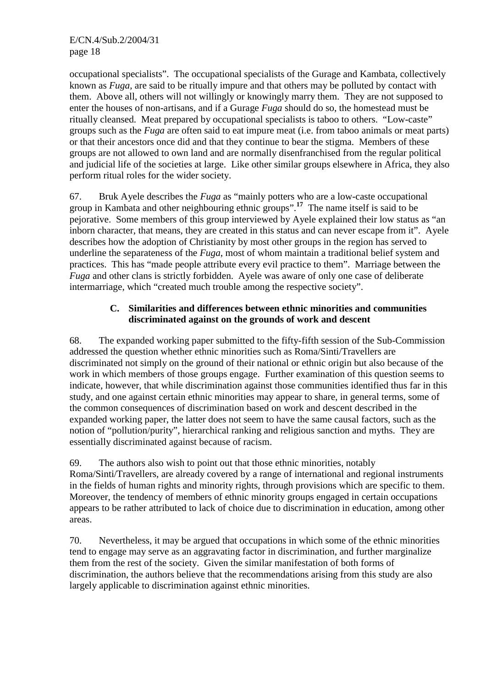occupational specialists". The occupational specialists of the Gurage and Kambata, collectively known as *Fuga*, are said to be ritually impure and that others may be polluted by contact with them. Above all, others will not willingly or knowingly marry them. They are not supposed to enter the houses of non-artisans, and if a Gurage *Fuga* should do so, the homestead must be ritually cleansed. Meat prepared by occupational specialists is taboo to others. "Low-caste" groups such as the *Fuga* are often said to eat impure meat (i.e. from taboo animals or meat parts) or that their ancestors once did and that they continue to bear the stigma. Members of these groups are not allowed to own land and are normally disenfranchised from the regular political and judicial life of the societies at large. Like other similar groups elsewhere in Africa, they also perform ritual roles for the wider society.

67. Bruk Ayele describes the *Fuga* as "mainly potters who are a low-caste occupational group in Kambata and other neighbouring ethnic groups".<sup>17</sup> The name itself is said to be pejorative. Some members of this group interviewed by Ayele explained their low status as "an inborn character, that means, they are created in this status and can never escape from it". Ayele describes how the adoption of Christianity by most other groups in the region has served to underline the separateness of the *Fuga*, most of whom maintain a traditional belief system and practices. This has "made people attribute every evil practice to them". Marriage between the *Fuga* and other clans is strictly forbidden. Ayele was aware of only one case of deliberate intermarriage, which "created much trouble among the respective society".

## **C. Similarities and differences between ethnic minorities and communities discriminated against on the grounds of work and descent**

68. The expanded working paper submitted to the fifty-fifth session of the Sub-Commission addressed the question whether ethnic minorities such as Roma/Sinti/Travellers are discriminated not simply on the ground of their national or ethnic origin but also because of the work in which members of those groups engage. Further examination of this question seems to indicate, however, that while discrimination against those communities identified thus far in this study, and one against certain ethnic minorities may appear to share, in general terms, some of the common consequences of discrimination based on work and descent described in the expanded working paper, the latter does not seem to have the same causal factors, such as the notion of "pollution/purity", hierarchical ranking and religious sanction and myths. They are essentially discriminated against because of racism.

69. The authors also wish to point out that those ethnic minorities, notably Roma/Sinti/Travellers, are already covered by a range of international and regional instruments in the fields of human rights and minority rights, through provisions which are specific to them. Moreover, the tendency of members of ethnic minority groups engaged in certain occupations appears to be rather attributed to lack of choice due to discrimination in education, among other areas.

70. Nevertheless, it may be argued that occupations in which some of the ethnic minorities tend to engage may serve as an aggravating factor in discrimination, and further marginalize them from the rest of the society. Given the similar manifestation of both forms of discrimination, the authors believe that the recommendations arising from this study are also largely applicable to discrimination against ethnic minorities.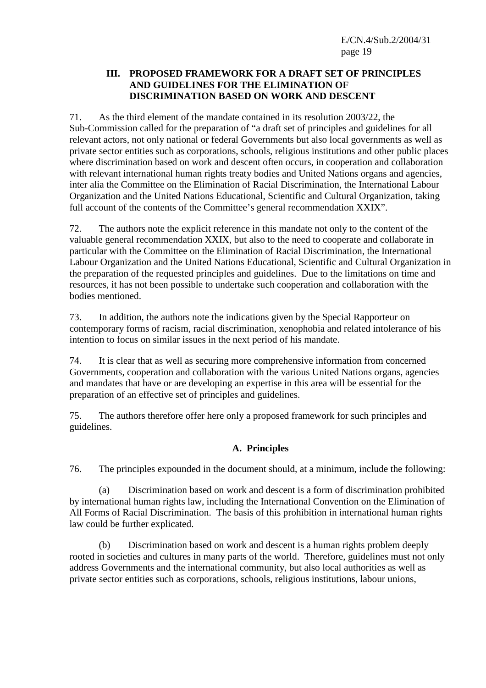#### **III. PROPOSED FRAMEWORK FOR A DRAFT SET OF PRINCIPLES AND GUIDELINES FOR THE ELIMINATION OF DISCRIMINATION BASED ON WORK AND DESCENT**

71. As the third element of the mandate contained in its resolution 2003/22, the Sub-Commission called for the preparation of "a draft set of principles and guidelines for all relevant actors, not only national or federal Governments but also local governments as well as private sector entities such as corporations, schools, religious institutions and other public places where discrimination based on work and descent often occurs, in cooperation and collaboration with relevant international human rights treaty bodies and United Nations organs and agencies, inter alia the Committee on the Elimination of Racial Discrimination, the International Labour Organization and the United Nations Educational, Scientific and Cultural Organization, taking full account of the contents of the Committee's general recommendation XXIX".

72. The authors note the explicit reference in this mandate not only to the content of the valuable general recommendation XXIX, but also to the need to cooperate and collaborate in particular with the Committee on the Elimination of Racial Discrimination, the International Labour Organization and the United Nations Educational, Scientific and Cultural Organization in the preparation of the requested principles and guidelines. Due to the limitations on time and resources, it has not been possible to undertake such cooperation and collaboration with the bodies mentioned.

73. In addition, the authors note the indications given by the Special Rapporteur on contemporary forms of racism, racial discrimination, xenophobia and related intolerance of his intention to focus on similar issues in the next period of his mandate.

74. It is clear that as well as securing more comprehensive information from concerned Governments, cooperation and collaboration with the various United Nations organs, agencies and mandates that have or are developing an expertise in this area will be essential for the preparation of an effective set of principles and guidelines.

75. The authors therefore offer here only a proposed framework for such principles and guidelines.

# **A. Principles**

76. The principles expounded in the document should, at a minimum, include the following:

 (a) Discrimination based on work and descent is a form of discrimination prohibited by international human rights law, including the International Convention on the Elimination of All Forms of Racial Discrimination. The basis of this prohibition in international human rights law could be further explicated.

 (b) Discrimination based on work and descent is a human rights problem deeply rooted in societies and cultures in many parts of the world. Therefore, guidelines must not only address Governments and the international community, but also local authorities as well as private sector entities such as corporations, schools, religious institutions, labour unions,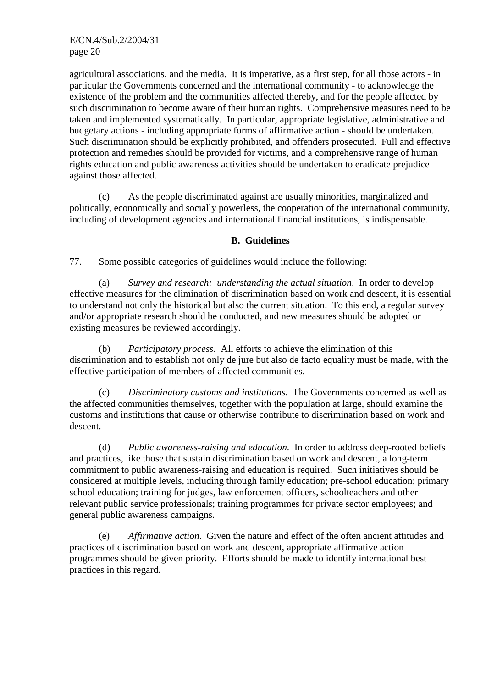agricultural associations, and the media. It is imperative, as a first step, for all those actors - in particular the Governments concerned and the international community - to acknowledge the existence of the problem and the communities affected thereby, and for the people affected by such discrimination to become aware of their human rights. Comprehensive measures need to be taken and implemented systematically. In particular, appropriate legislative, administrative and budgetary actions - including appropriate forms of affirmative action - should be undertaken. Such discrimination should be explicitly prohibited, and offenders prosecuted. Full and effective protection and remedies should be provided for victims, and a comprehensive range of human rights education and public awareness activities should be undertaken to eradicate prejudice against those affected.

 (c) As the people discriminated against are usually minorities, marginalized and politically, economically and socially powerless, the cooperation of the international community, including of development agencies and international financial institutions, is indispensable.

#### **B. Guidelines**

77. Some possible categories of guidelines would include the following:

 (a) *Survey and research: understanding the actual situation*. In order to develop effective measures for the elimination of discrimination based on work and descent, it is essential to understand not only the historical but also the current situation. To this end, a regular survey and/or appropriate research should be conducted, and new measures should be adopted or existing measures be reviewed accordingly.

 (b) *Participatory process*. All efforts to achieve the elimination of this discrimination and to establish not only de jure but also de facto equality must be made, with the effective participation of members of affected communities.

 (c) *Discriminatory customs and institutions*. The Governments concerned as well as the affected communities themselves, together with the population at large, should examine the customs and institutions that cause or otherwise contribute to discrimination based on work and descent.

 (d) *Public awareness-raising and education*. In order to address deep-rooted beliefs and practices, like those that sustain discrimination based on work and descent, a long-term commitment to public awareness-raising and education is required. Such initiatives should be considered at multiple levels, including through family education; pre-school education; primary school education; training for judges, law enforcement officers, schoolteachers and other relevant public service professionals; training programmes for private sector employees; and general public awareness campaigns.

 (e) *Affirmative action*. Given the nature and effect of the often ancient attitudes and practices of discrimination based on work and descent, appropriate affirmative action programmes should be given priority. Efforts should be made to identify international best practices in this regard.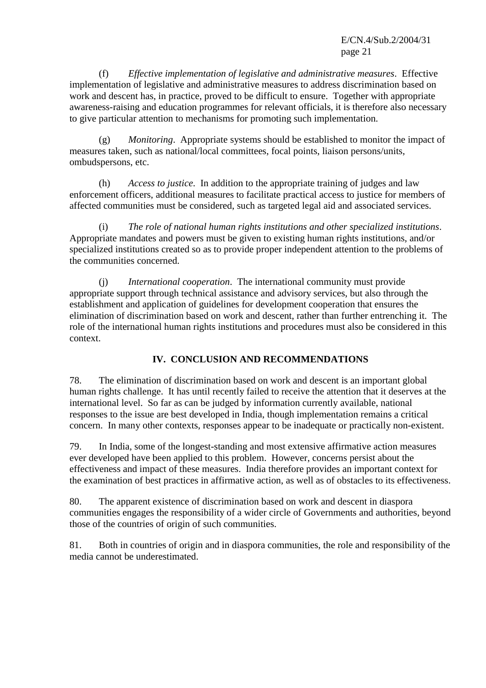E/CN.4/Sub.2/2004/31 page 21

 (f) *Effective implementation of legislative and administrative measures*. Effective implementation of legislative and administrative measures to address discrimination based on work and descent has, in practice, proved to be difficult to ensure. Together with appropriate awareness-raising and education programmes for relevant officials, it is therefore also necessary to give particular attention to mechanisms for promoting such implementation.

 (g) *Monitoring*. Appropriate systems should be established to monitor the impact of measures taken, such as national/local committees, focal points, liaison persons/units, ombudspersons, etc.

 (h) *Access to justice*. In addition to the appropriate training of judges and law enforcement officers, additional measures to facilitate practical access to justice for members of affected communities must be considered, such as targeted legal aid and associated services.

 (i) *The role of national human rights institutions and other specialized institutions*. Appropriate mandates and powers must be given to existing human rights institutions, and/or specialized institutions created so as to provide proper independent attention to the problems of the communities concerned.

 (j) *International cooperation*. The international community must provide appropriate support through technical assistance and advisory services, but also through the establishment and application of guidelines for development cooperation that ensures the elimination of discrimination based on work and descent, rather than further entrenching it. The role of the international human rights institutions and procedures must also be considered in this context.

# **IV. CONCLUSION AND RECOMMENDATIONS**

78. The elimination of discrimination based on work and descent is an important global human rights challenge. It has until recently failed to receive the attention that it deserves at the international level. So far as can be judged by information currently available, national responses to the issue are best developed in India, though implementation remains a critical concern. In many other contexts, responses appear to be inadequate or practically non-existent.

79. In India, some of the longest-standing and most extensive affirmative action measures ever developed have been applied to this problem. However, concerns persist about the effectiveness and impact of these measures. India therefore provides an important context for the examination of best practices in affirmative action, as well as of obstacles to its effectiveness.

80. The apparent existence of discrimination based on work and descent in diaspora communities engages the responsibility of a wider circle of Governments and authorities, beyond those of the countries of origin of such communities.

81. Both in countries of origin and in diaspora communities, the role and responsibility of the media cannot be underestimated.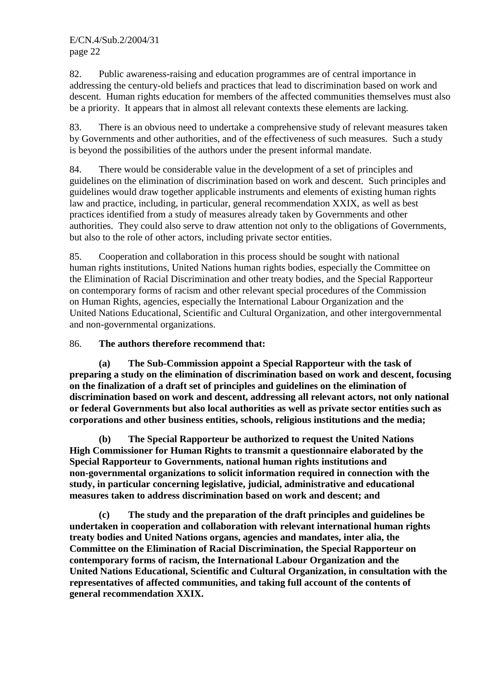82. Public awareness-raising and education programmes are of central importance in addressing the century-old beliefs and practices that lead to discrimination based on work and descent. Human rights education for members of the affected communities themselves must also be a priority. It appears that in almost all relevant contexts these elements are lacking.

83. There is an obvious need to undertake a comprehensive study of relevant measures taken by Governments and other authorities, and of the effectiveness of such measures. Such a study is beyond the possibilities of the authors under the present informal mandate.

84. There would be considerable value in the development of a set of principles and guidelines on the elimination of discrimination based on work and descent. Such principles and guidelines would draw together applicable instruments and elements of existing human rights law and practice, including, in particular, general recommendation XXIX, as well as best practices identified from a study of measures already taken by Governments and other authorities. They could also serve to draw attention not only to the obligations of Governments, but also to the role of other actors, including private sector entities.

85. Cooperation and collaboration in this process should be sought with national human rights institutions, United Nations human rights bodies, especially the Committee on the Elimination of Racial Discrimination and other treaty bodies, and the Special Rapporteur on contemporary forms of racism and other relevant special procedures of the Commission on Human Rights, agencies, especially the International Labour Organization and the United Nations Educational, Scientific and Cultural Organization, and other intergovernmental and non-governmental organizations.

## 86. **The authors therefore recommend that:**

**(a) The Sub-Commission appoint a Special Rapporteur with the task of preparing a study on the elimination of discrimination based on work and descent, focusing on the finalization of a draft set of principles and guidelines on the elimination of discrimination based on work and descent, addressing all relevant actors, not only national or federal Governments but also local authorities as well as private sector entities such as corporations and other business entities, schools, religious institutions and the media;** 

 **(b) The Special Rapporteur be authorized to request the United Nations High Commissioner for Human Rights to transmit a questionnaire elaborated by the Special Rapporteur to Governments, national human rights institutions and non-governmental organizations to solicit information required in connection with the study, in particular concerning legislative, judicial, administrative and educational measures taken to address discrimination based on work and descent; and** 

 **(c) The study and the preparation of the draft principles and guidelines be undertaken in cooperation and collaboration with relevant international human rights treaty bodies and United Nations organs, agencies and mandates, inter alia, the Committee on the Elimination of Racial Discrimination, the Special Rapporteur on contemporary forms of racism, the International Labour Organization and the United Nations Educational, Scientific and Cultural Organization, in consultation with the representatives of affected communities, and taking full account of the contents of general recommendation XXIX.**